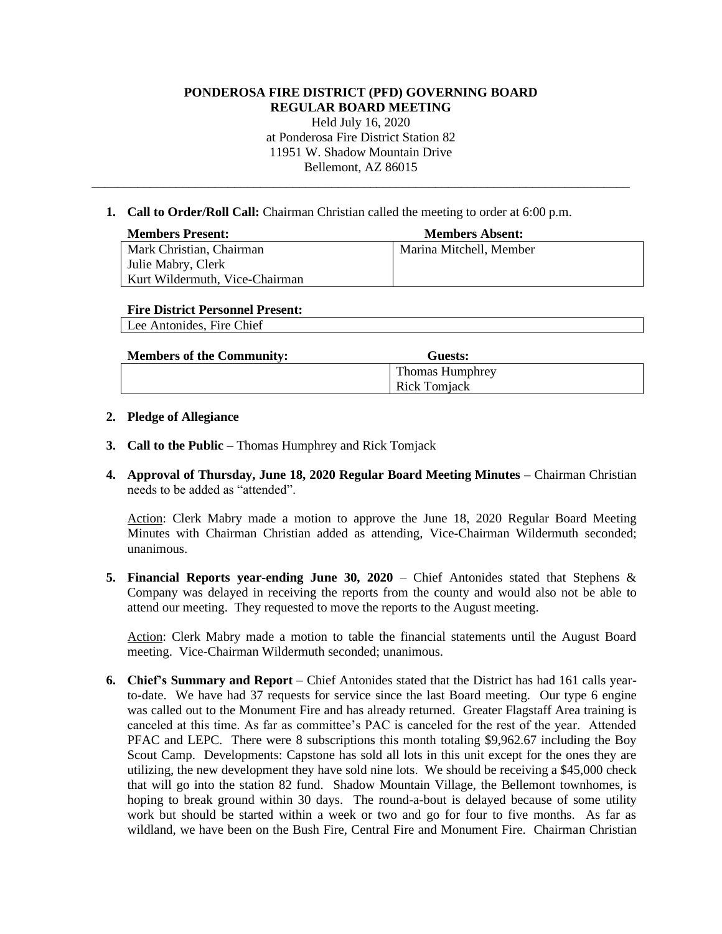# **PONDEROSA FIRE DISTRICT (PFD) GOVERNING BOARD REGULAR BOARD MEETING** Held July 16, 2020 at Ponderosa Fire District Station 82 11951 W. Shadow Mountain Drive Bellemont, AZ 86015 \_\_\_\_\_\_\_\_\_\_\_\_\_\_\_\_\_\_\_\_\_\_\_\_\_\_\_\_\_\_\_\_\_\_\_\_\_\_\_\_\_\_\_\_\_\_\_\_\_\_\_\_\_\_\_\_\_\_\_\_\_\_\_\_\_\_\_\_\_\_\_\_\_\_\_\_\_\_\_\_\_\_\_

**1. Call to Order/Roll Call:** Chairman Christian called the meeting to order at 6:00 p.m.

| <b>Members Present:</b>        | <b>Members Absent:</b>  |
|--------------------------------|-------------------------|
| Mark Christian, Chairman       | Marina Mitchell, Member |
| Julie Mabry, Clerk             |                         |
| Kurt Wildermuth, Vice-Chairman |                         |

#### **Fire District Personnel Present:**

Lee Antonides, Fire Chief

| <b>Members of the Community:</b> | Guests:                |
|----------------------------------|------------------------|
|                                  | <b>Thomas Humphrey</b> |
|                                  | <b>Rick Tomjack</b>    |

### **2. Pledge of Allegiance**

- **3. Call to the Public –** Thomas Humphrey and Rick Tomjack
- **4. Approval of Thursday, June 18, 2020 Regular Board Meeting Minutes –** Chairman Christian needs to be added as "attended".

Action: Clerk Mabry made a motion to approve the June 18, 2020 Regular Board Meeting Minutes with Chairman Christian added as attending, Vice-Chairman Wildermuth seconded; unanimous.

**5. Financial Reports year-ending June 30, 2020** – Chief Antonides stated that Stephens  $\&$ Company was delayed in receiving the reports from the county and would also not be able to attend our meeting. They requested to move the reports to the August meeting.

Action: Clerk Mabry made a motion to table the financial statements until the August Board meeting. Vice-Chairman Wildermuth seconded; unanimous.

**6. Chief's Summary and Report** – Chief Antonides stated that the District has had 161 calls yearto-date. We have had 37 requests for service since the last Board meeting. Our type 6 engine was called out to the Monument Fire and has already returned. Greater Flagstaff Area training is canceled at this time. As far as committee's PAC is canceled for the rest of the year. Attended PFAC and LEPC. There were 8 subscriptions this month totaling \$9,962.67 including the Boy Scout Camp. Developments: Capstone has sold all lots in this unit except for the ones they are utilizing, the new development they have sold nine lots. We should be receiving a \$45,000 check that will go into the station 82 fund. Shadow Mountain Village, the Bellemont townhomes, is hoping to break ground within 30 days. The round-a-bout is delayed because of some utility work but should be started within a week or two and go for four to five months. As far as wildland, we have been on the Bush Fire, Central Fire and Monument Fire. Chairman Christian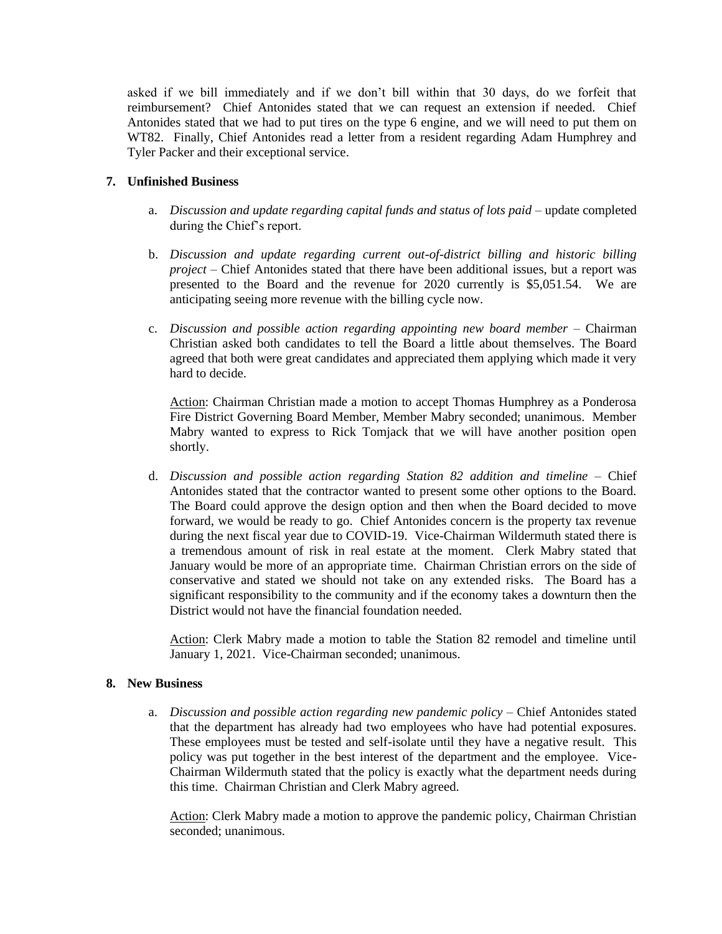asked if we bill immediately and if we don't bill within that 30 days, do we forfeit that reimbursement? Chief Antonides stated that we can request an extension if needed. Chief Antonides stated that we had to put tires on the type 6 engine, and we will need to put them on WT82. Finally, Chief Antonides read a letter from a resident regarding Adam Humphrey and Tyler Packer and their exceptional service.

# **7. Unfinished Business**

- a. *Discussion and update regarding capital funds and status of lots paid –* update completed during the Chief's report.
- b. *Discussion and update regarding current out-of-district billing and historic billing project –* Chief Antonides stated that there have been additional issues, but a report was presented to the Board and the revenue for 2020 currently is \$5,051.54. We are anticipating seeing more revenue with the billing cycle now.
- c. *Discussion and possible action regarding appointing new board member –* Chairman Christian asked both candidates to tell the Board a little about themselves. The Board agreed that both were great candidates and appreciated them applying which made it very hard to decide.

Action: Chairman Christian made a motion to accept Thomas Humphrey as a Ponderosa Fire District Governing Board Member, Member Mabry seconded; unanimous. Member Mabry wanted to express to Rick Tomjack that we will have another position open shortly.

d. *Discussion and possible action regarding Station 82 addition and timeline –* Chief Antonides stated that the contractor wanted to present some other options to the Board. The Board could approve the design option and then when the Board decided to move forward, we would be ready to go. Chief Antonides concern is the property tax revenue during the next fiscal year due to COVID-19. Vice-Chairman Wildermuth stated there is a tremendous amount of risk in real estate at the moment. Clerk Mabry stated that January would be more of an appropriate time. Chairman Christian errors on the side of conservative and stated we should not take on any extended risks. The Board has a significant responsibility to the community and if the economy takes a downturn then the District would not have the financial foundation needed.

Action: Clerk Mabry made a motion to table the Station 82 remodel and timeline until January 1, 2021. Vice-Chairman seconded; unanimous.

### **8. New Business**

a. *Discussion and possible action regarding new pandemic policy –* Chief Antonides stated that the department has already had two employees who have had potential exposures. These employees must be tested and self-isolate until they have a negative result. This policy was put together in the best interest of the department and the employee. Vice-Chairman Wildermuth stated that the policy is exactly what the department needs during this time. Chairman Christian and Clerk Mabry agreed.

Action: Clerk Mabry made a motion to approve the pandemic policy, Chairman Christian seconded; unanimous.